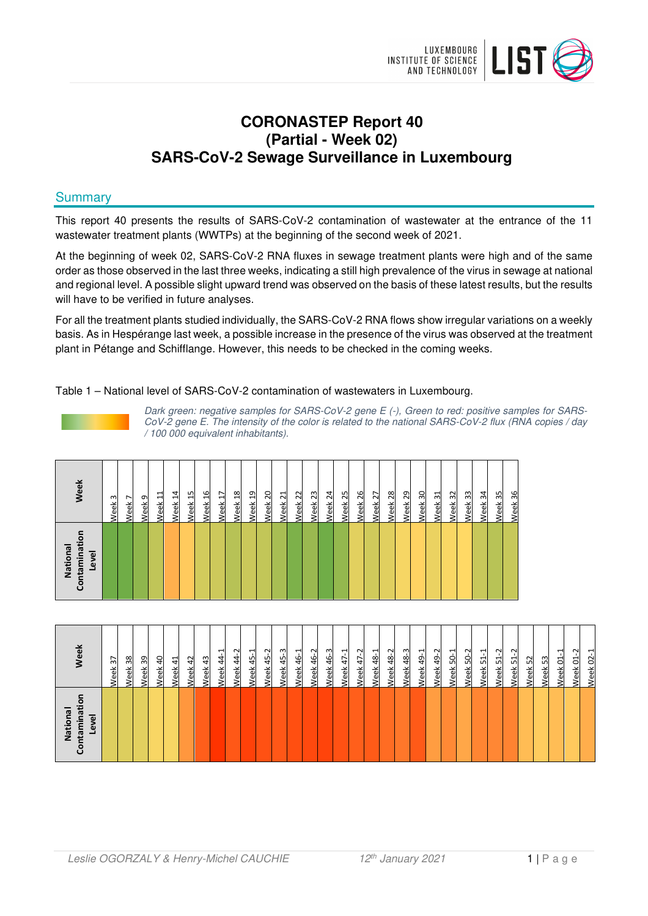

# **CORONASTEP Report 40 (Partial - Week 02) SARS-CoV-2 Sewage Surveillance in Luxembourg**

# **Summary**

This report 40 presents the results of SARS-CoV-2 contamination of wastewater at the entrance of the 11 wastewater treatment plants (WWTPs) at the beginning of the second week of 2021.

At the beginning of week 02, SARS-CoV-2 RNA fluxes in sewage treatment plants were high and of the same order as those observed in the last three weeks, indicating a still high prevalence of the virus in sewage at national and regional level. A possible slight upward trend was observed on the basis of these latest results, but the results will have to be verified in future analyses.

For all the treatment plants studied individually, the SARS-CoV-2 RNA flows show irregular variations on a weekly basis. As in Hespérange last week, a possible increase in the presence of the virus was observed at the treatment plant in Pétange and Schifflange. However, this needs to be checked in the coming weeks.

#### Table 1 – National level of SARS-CoV-2 contamination of wastewaters in Luxembourg.



Dark green: negative samples for SARS-CoV-2 gene E (-), Green to red: positive samples for SARS-CoV-2 gene E. The intensity of the color is related to the national SARS-CoV-2 flux (RNA copies / day / 100 000 equivalent inhabitants).

| Contaminatio<br>National<br>Level | Week                   |
|-----------------------------------|------------------------|
|                                   | Week <sub>3</sub>      |
|                                   | $\overline{ }$<br>Week |
|                                   | Week <sub>9</sub>      |
|                                   | 님<br>Week:             |
|                                   | Week 14                |
|                                   | Week 15                |
|                                   | Week <sub>16</sub>     |
|                                   | Week 17                |
|                                   | Week <sub>18</sub>     |
|                                   | Week 19                |
|                                   | Week <sub>20</sub>     |
|                                   | Week <sub>21</sub>     |
|                                   | Week 22                |
|                                   | Week <sub>23</sub>     |
|                                   | Week <sub>24</sub>     |
|                                   | Week <sub>25</sub>     |
|                                   | Week <sub>26</sub>     |
|                                   | Week <sub>27</sub>     |
|                                   | Week <sub>28</sub>     |
|                                   | Week <sub>29</sub>     |
|                                   | Week 30                |
|                                   | Week 31                |
|                                   | Week 32                |
|                                   | Week 33                |
|                                   | Week 34                |
|                                   | Week 35                |
|                                   | Week 36                |

| ō<br>ntaminati<br>National<br>Level<br>වි | <b>Neek</b>                                        |
|-------------------------------------------|----------------------------------------------------|
|                                           | $\overline{37}$<br>Week                            |
|                                           | 38<br>Week                                         |
|                                           | Week 39                                            |
|                                           | $\overline{a}$<br>Week                             |
|                                           | 41<br>Week                                         |
|                                           | $\overline{a}$<br>Week                             |
|                                           | $\frac{1}{2}$<br>Veek                              |
|                                           | $\overline{\phantom{0}}$<br>41<br>4<br><b>Neek</b> |
|                                           | $44 - 2$<br>Week                                   |
|                                           | $45-1$<br>Week                                     |
|                                           | 45-2<br><b>Week</b>                                |
|                                           | Week 45-3                                          |
|                                           | 46-1<br>Week                                       |
|                                           | 46-2<br>Week                                       |
|                                           | ო<br>$\frac{6}{4}$<br><b>Neek</b>                  |
|                                           | ᅱ<br>47<br><b>Neek</b>                             |
|                                           | $47 - 2$<br>Week                                   |
|                                           | 48-1<br>Week                                       |
|                                           | 48-2<br>Week                                       |
|                                           | Week 48-3                                          |
|                                           | Week 49-1                                          |
|                                           | 49-2<br>Week                                       |
|                                           | ᅱ<br>Ś,<br>Week                                    |
|                                           | Ņ<br>SÓ,<br><b>Jeek</b>                            |
|                                           | ᅴ<br>임<br><b>Neek</b>                              |
|                                           | $51-2$<br>Week                                     |
|                                           | N<br>S.<br>Week                                    |
|                                           | Week 52                                            |
|                                           | Week 53                                            |
|                                           | Week 01-1                                          |
|                                           | ب<br>Week 01                                       |
|                                           | ⊣<br>$\overline{0}$<br>Week                        |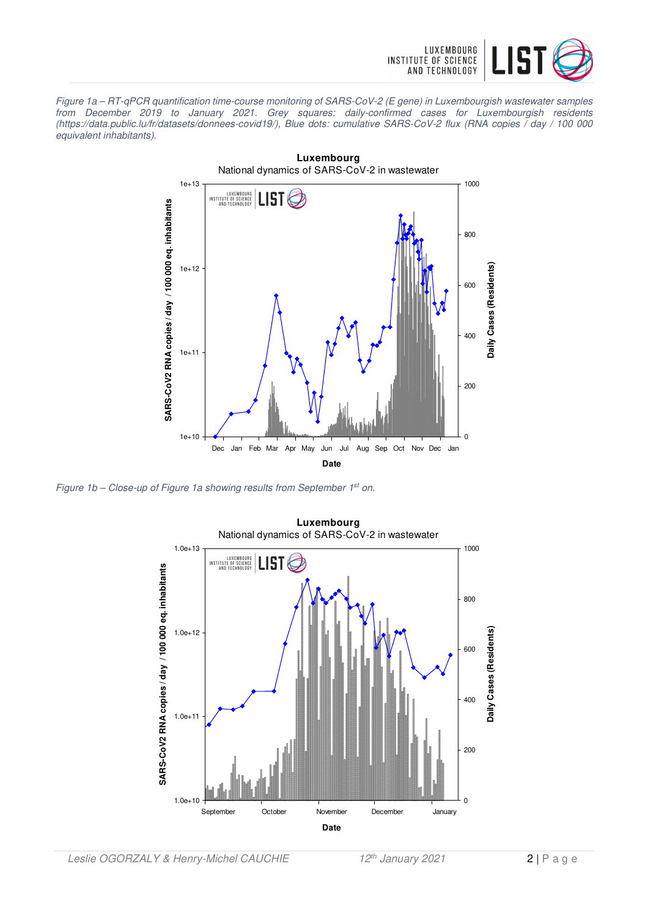

Figure 1a – RT-qPCR quantification time-course monitoring of SARS-CoV-2 (E gene) in Luxembourgish wastewater samples from December 2019 to January 2021. Grey squares: daily-confirmed cases for Luxembourgish residents (https://data.public.lu/fr/datasets/donnees-covid19/), Blue dots: cumulative SARS-CoV-2 flux (RNA copies / day / 100 000 equivalent inhabitants).



Figure 1b - Close-up of Figure 1a showing results from September 1<sup>st</sup> on.

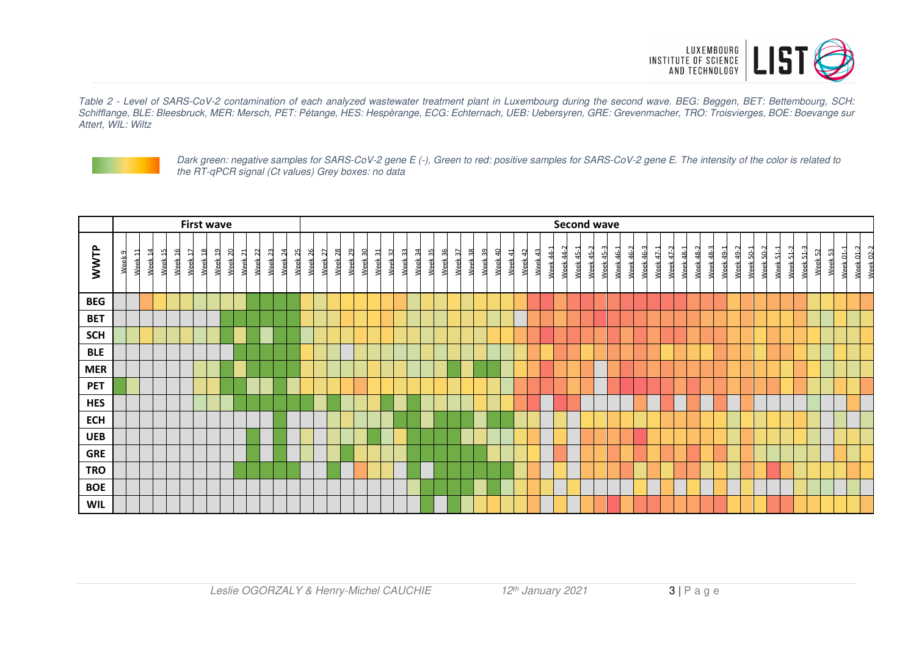

Table 2 - Level of SARS-CoV-2 contamination of each analyzed wastewater treatment plant in Luxembourg during the second wave. BEG: Beggen, BET: Bettembourg, SCH: Schifflange, BLE: Bleesbruck, MER: Mersch, PET: Pétange, HES: Hespèrange, ECG: Echternach, UEB: Uebersyren, GRE: Grevenmacher, TRO: Troisvierges, BOE: Boevange sur Attert, WIL: Wiltz



Dark green: negative samples for SARS-CoV-2 gene E (-), Green to red: positive samples for SARS-CoV-2 gene E. The intensity of the color is related to the RT-qPCR signal (Ct values) Grey boxes: no data

|            | <b>First wave</b> |         |                    |                             |                                                                             |                    |                    |                    |                    |                    |                    |                                         |                    |      |                    |                    |                    |                                          |                    |         |                    |         |                    |         |                    |         |         |         |                      | <b>Second wave</b> |                        |                          |           |              |                       |           |                        |           |           |               |           |                 |                      |                              |           |                |                    |         |                            |                                        |
|------------|-------------------|---------|--------------------|-----------------------------|-----------------------------------------------------------------------------|--------------------|--------------------|--------------------|--------------------|--------------------|--------------------|-----------------------------------------|--------------------|------|--------------------|--------------------|--------------------|------------------------------------------|--------------------|---------|--------------------|---------|--------------------|---------|--------------------|---------|---------|---------|----------------------|--------------------|------------------------|--------------------------|-----------|--------------|-----------------------|-----------|------------------------|-----------|-----------|---------------|-----------|-----------------|----------------------|------------------------------|-----------|----------------|--------------------|---------|----------------------------|----------------------------------------|
| WWTP       | Week <sub>9</sub> | Week 11 | Week <sub>14</sub> | 5<br>$\overline{ }$<br>Week | Week <sub>16</sub><br>$\overline{r}$<br>$\overline{ }$<br>Week <sup>-</sup> | Week <sub>18</sub> | Week <sub>19</sub> | Week <sub>20</sub> | Week <sub>21</sub> | Week <sub>22</sub> | Week <sub>23</sub> | Week <sub>24</sub><br>Week <sub>2</sub> | Week <sub>26</sub> | Week | Week <sub>28</sub> | Week <sub>29</sub> | Week <sub>30</sub> | Week <sub>32</sub><br>Week <sub>31</sub> | Week <sub>33</sub> | Week 34 | Week <sub>35</sub> | Week 36 | Week <sub>37</sub> | Week 38 | Week <sub>39</sub> | Week 40 | Week 41 | Week 42 | Week 44-1<br>Week 43 | 44-2<br>Week       | Week 45-2<br>Week 45-1 | $\mathbf{c}$<br>Week 45- | Week 46-1 | 46-2<br>Week | $\sim$<br>46-<br>Week | Week 47-1 | Week 47-2<br>Week 48-1 | Week 48-2 | Week 48-3 | ſ<br>Week 49- | Week 49-2 | $50-1$<br>Week! | Week <sub>50-2</sub> | $\overline{ }$<br>51<br>Week | Week 51-2 | $\sim$<br>Week | Week <sub>52</sub> | Week 53 | $\overline{ }$<br>Week 01- | $\sim$<br><b>Week 02-2</b><br>Week 01- |
| <b>BEG</b> |                   |         |                    |                             |                                                                             |                    |                    |                    |                    |                    |                    |                                         |                    |      |                    |                    |                    |                                          |                    |         |                    |         |                    |         |                    |         |         |         |                      |                    |                        |                          |           |              |                       |           |                        |           |           |               |           |                 |                      |                              |           |                |                    |         |                            |                                        |
| <b>BET</b> |                   |         |                    |                             |                                                                             |                    |                    |                    |                    |                    |                    |                                         |                    |      |                    |                    |                    |                                          |                    |         |                    |         |                    |         |                    |         |         |         |                      |                    |                        |                          |           |              |                       |           |                        |           |           |               |           |                 |                      |                              |           |                |                    |         |                            |                                        |
| <b>SCH</b> |                   |         |                    |                             |                                                                             |                    |                    |                    |                    |                    |                    |                                         |                    |      |                    |                    |                    |                                          |                    |         |                    |         |                    |         |                    |         |         |         |                      |                    |                        |                          |           |              |                       |           |                        |           |           |               |           |                 |                      |                              |           |                |                    |         |                            |                                        |
| <b>BLE</b> |                   |         |                    |                             |                                                                             |                    |                    |                    |                    |                    |                    |                                         |                    |      |                    |                    |                    |                                          |                    |         |                    |         |                    |         |                    |         |         |         |                      |                    |                        |                          |           |              |                       |           |                        |           |           |               |           |                 |                      |                              |           |                |                    |         |                            |                                        |
| <b>MER</b> |                   |         |                    |                             |                                                                             |                    |                    |                    |                    |                    |                    |                                         |                    |      |                    |                    |                    |                                          |                    |         |                    |         |                    |         |                    |         |         |         |                      |                    |                        |                          |           |              |                       |           |                        |           |           |               |           |                 |                      |                              |           |                |                    |         |                            |                                        |
| <b>PET</b> |                   |         |                    |                             |                                                                             |                    |                    |                    |                    |                    |                    |                                         |                    |      |                    |                    |                    |                                          |                    |         |                    |         |                    |         |                    |         |         |         |                      |                    |                        |                          |           |              |                       |           |                        |           |           |               |           |                 |                      |                              |           |                |                    |         |                            |                                        |
| <b>HES</b> |                   |         |                    |                             |                                                                             |                    |                    |                    |                    |                    |                    |                                         |                    |      |                    |                    |                    |                                          |                    |         |                    |         |                    |         |                    |         |         |         |                      |                    |                        |                          |           |              |                       |           |                        |           |           |               |           |                 |                      |                              |           |                |                    |         |                            |                                        |
| <b>ECH</b> |                   |         |                    |                             |                                                                             |                    |                    |                    |                    |                    |                    |                                         |                    |      |                    |                    |                    |                                          |                    |         |                    |         |                    |         |                    |         |         |         |                      |                    |                        |                          |           |              |                       |           |                        |           |           |               |           |                 |                      |                              |           |                |                    |         |                            |                                        |
| <b>UEB</b> |                   |         |                    |                             |                                                                             |                    |                    |                    |                    |                    |                    |                                         |                    |      |                    |                    |                    |                                          |                    |         |                    |         |                    |         |                    |         |         |         |                      |                    |                        |                          |           |              |                       |           |                        |           |           |               |           |                 |                      |                              |           |                |                    |         |                            |                                        |
| <b>GRE</b> |                   |         |                    |                             |                                                                             |                    |                    |                    |                    |                    |                    |                                         |                    |      |                    |                    |                    |                                          |                    |         |                    |         |                    |         |                    |         |         |         |                      |                    |                        |                          |           |              |                       |           |                        |           |           |               |           |                 |                      |                              |           |                |                    |         |                            |                                        |
| <b>TRO</b> |                   |         |                    |                             |                                                                             |                    |                    |                    |                    |                    |                    |                                         |                    |      |                    |                    |                    |                                          |                    |         |                    |         |                    |         |                    |         |         |         |                      |                    |                        |                          |           |              |                       |           |                        |           |           |               |           |                 |                      |                              |           |                |                    |         |                            |                                        |
| <b>BOE</b> |                   |         |                    |                             |                                                                             |                    |                    |                    |                    |                    |                    |                                         |                    |      |                    |                    |                    |                                          |                    |         |                    |         |                    |         |                    |         |         |         |                      |                    |                        |                          |           |              |                       |           |                        |           |           |               |           |                 |                      |                              |           |                |                    |         |                            |                                        |
| <b>WIL</b> |                   |         |                    |                             |                                                                             |                    |                    |                    |                    |                    |                    |                                         |                    |      |                    |                    |                    |                                          |                    |         |                    |         |                    |         |                    |         |         |         |                      |                    |                        |                          |           |              |                       |           |                        |           |           |               |           |                 |                      |                              |           |                |                    |         |                            |                                        |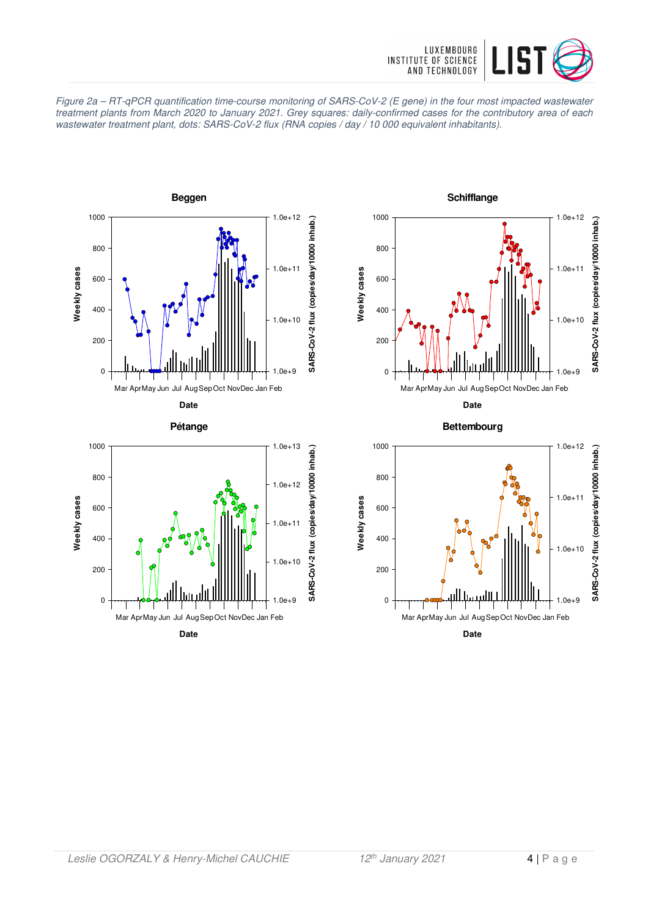

Figure 2a – RT-qPCR quantification time-course monitoring of SARS-CoV-2 (E gene) in the four most impacted wastewater treatment plants from March 2020 to January 2021. Grey squares: daily-confirmed cases for the contributory area of each wastewater treatment plant, dots: SARS-CoV-2 flux (RNA copies / day / 10 000 equivalent inhabitants).







**Date**

**Bettembourg**

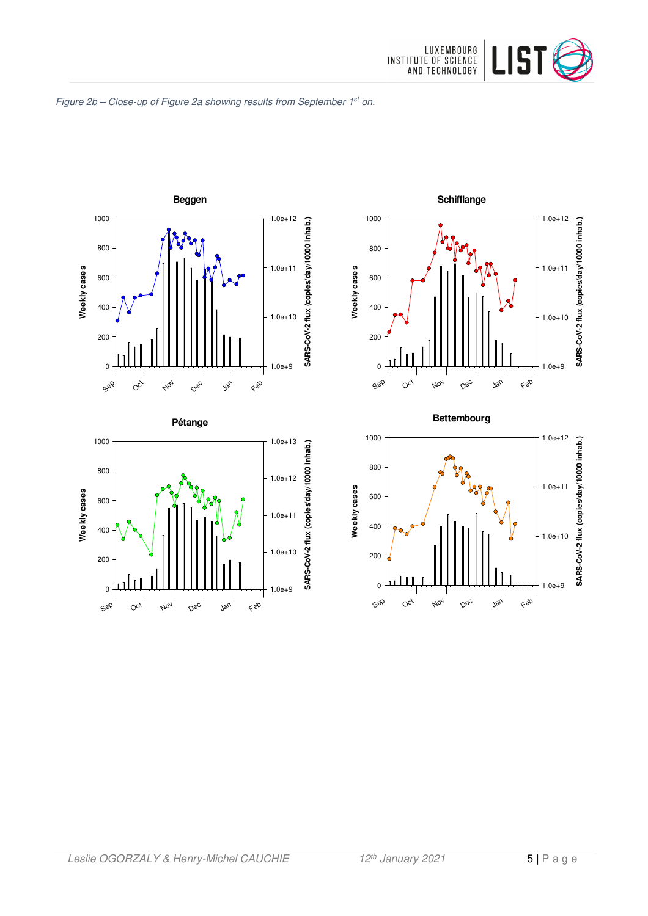

#### Figure 2b - Close-up of Figure 2a showing results from September 1st on.











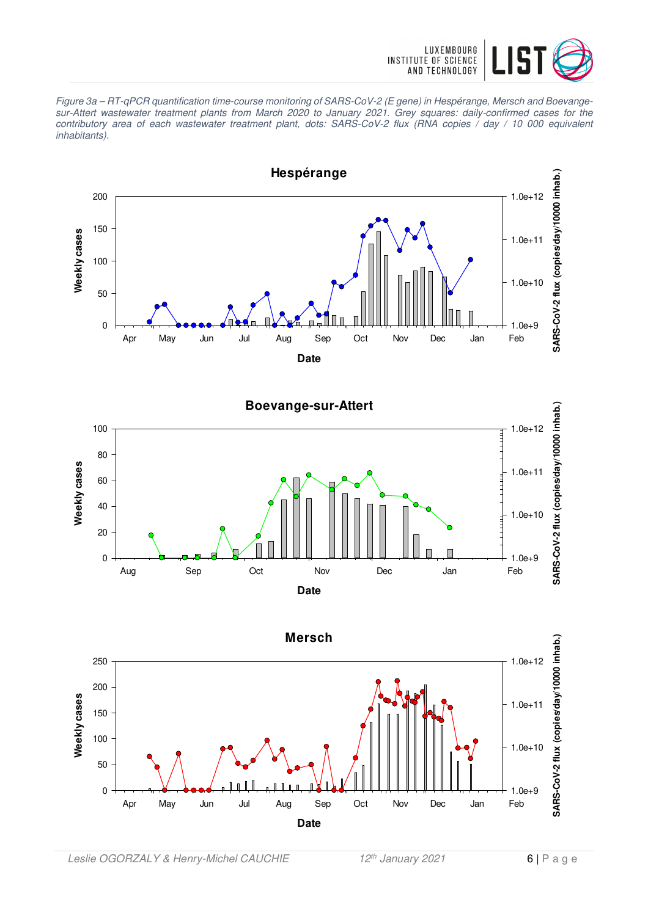

Figure 3a – RT-qPCR quantification time-course monitoring of SARS-CoV-2 (E gene) in Hespérange, Mersch and Boevangesur-Attert wastewater treatment plants from March 2020 to January 2021. Grey squares: daily-confirmed cases for the contributory area of each wastewater treatment plant, dots: SARS-CoV-2 flux (RNA copies / day / 10 000 equivalent inhabitants).





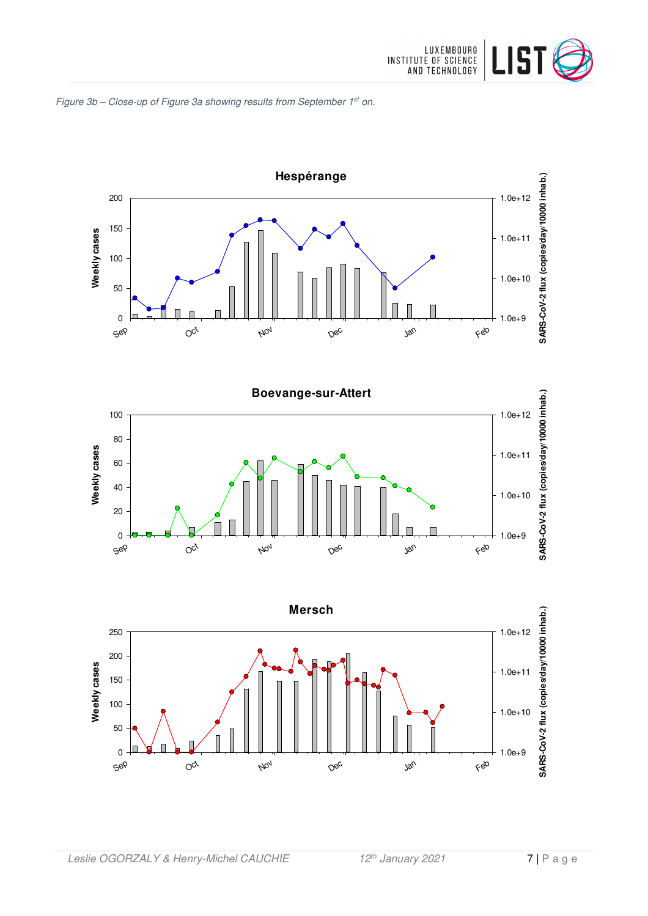







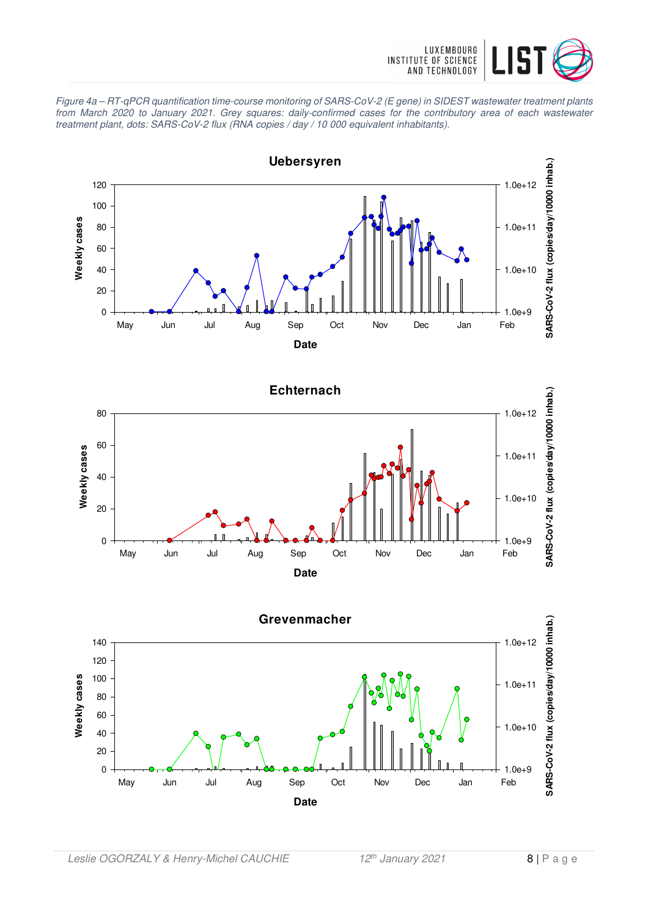

Figure 4a – RT-qPCR quantification time-course monitoring of SARS-CoV-2 (E gene) in SIDEST wastewater treatment plants from March 2020 to January 2021. Grey squares: daily-confirmed cases for the contributory area of each wastewater treatment plant, dots: SARS-CoV-2 flux (RNA copies / day / 10 000 equivalent inhabitants).





**Date**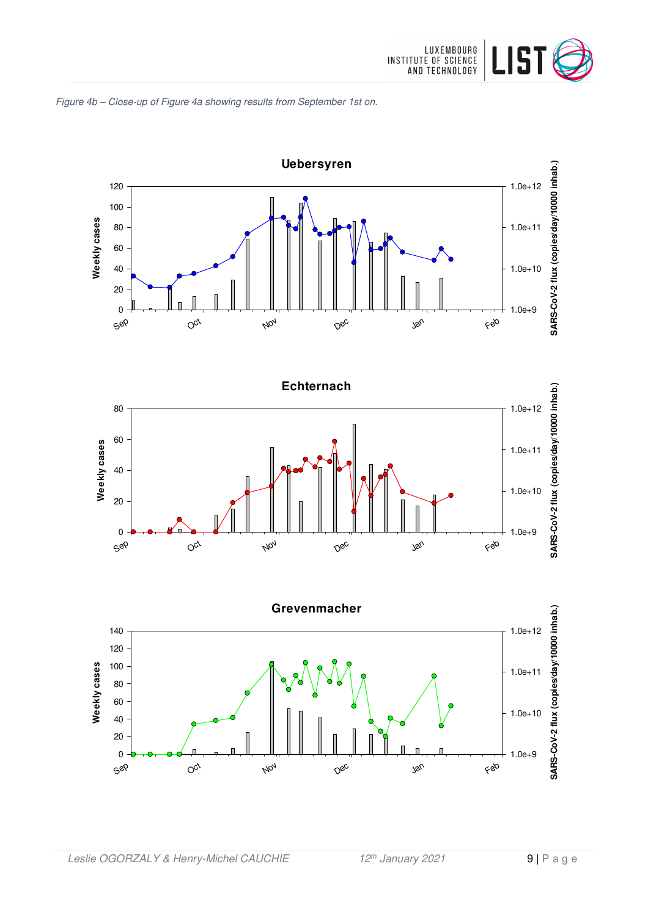







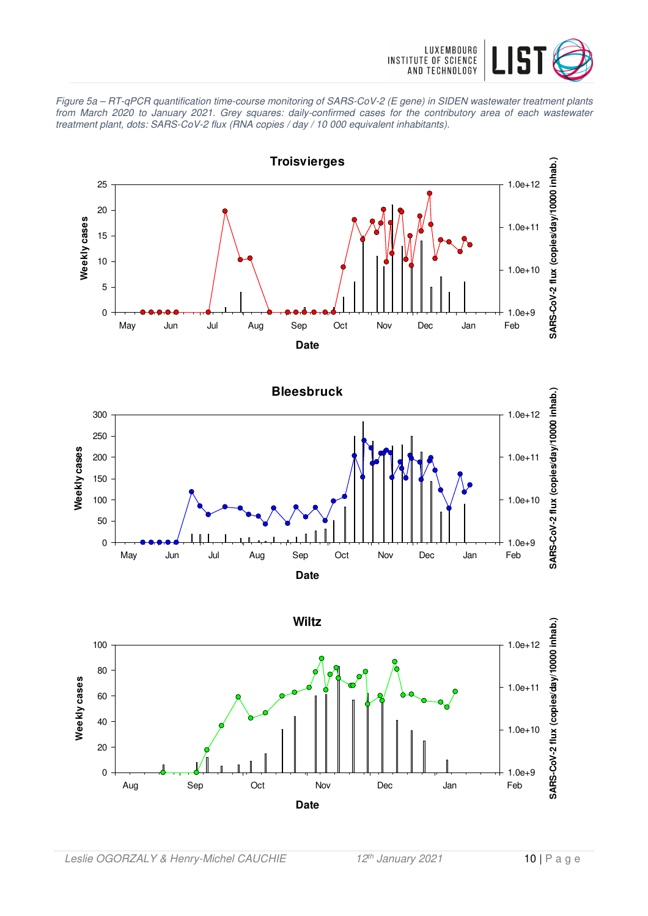

Figure 5a – RT-qPCR quantification time-course monitoring of SARS-CoV-2 (E gene) in SIDEN wastewater treatment plants from March 2020 to January 2021. Grey squares: daily-confirmed cases for the contributory area of each wastewater treatment plant, dots: SARS-CoV-2 flux (RNA copies / day / 10 000 equivalent inhabitants).



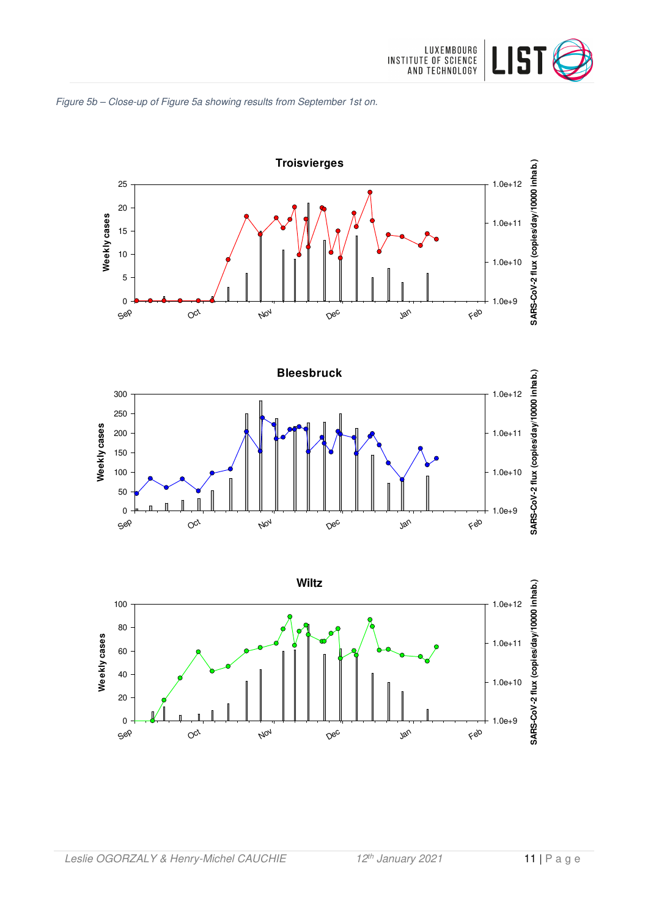







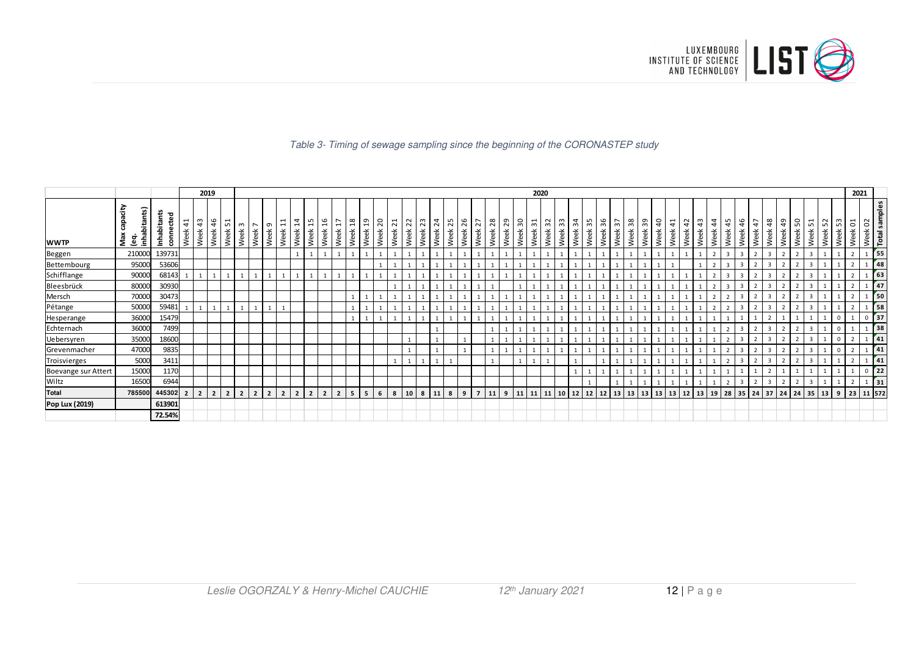

#### Table 3- Timing of sewage sampling since the beginning of the CORONASTEP study

|                     | 2019                      |                                 |                        |                             |                       |                                       |            |                               |                  |                                                                   |                                 |            |                                          |                                |                |                |      |                   |                                       | 2020         |            |                |            |            |         |                    |            |            |         |                         |            |                         |            |                  |                        |                       |                    |            |                      |                              |                     |                 | 2021    |                |            |                                          |            |             |         |                          |  |
|---------------------|---------------------------|---------------------------------|------------------------|-----------------------------|-----------------------|---------------------------------------|------------|-------------------------------|------------------|-------------------------------------------------------------------|---------------------------------|------------|------------------------------------------|--------------------------------|----------------|----------------|------|-------------------|---------------------------------------|--------------|------------|----------------|------------|------------|---------|--------------------|------------|------------|---------|-------------------------|------------|-------------------------|------------|------------------|------------------------|-----------------------|--------------------|------------|----------------------|------------------------------|---------------------|-----------------|---------|----------------|------------|------------------------------------------|------------|-------------|---------|--------------------------|--|
| <b>WWTP</b>         | inhabitants)<br>eg<br>Seg | £,<br>ᇃ<br>Inhabitan<br>윤<br>ទី | $\overline{4}$<br>Week | m<br>$\overline{a}$<br>Week | $\frac{9}{4}$<br>Week | $\overline{\phantom{0}}$<br>ഗ<br>Week | ന<br>Week  | $\overline{ }$<br><b>Week</b> | $\sigma$<br>Week | $\mathbf{\mathbf{\mathbf{\mathsf{H}}}}$<br>$\overline{ }$<br>Week | $\overline{14}$<br>Week<br>Week | 15<br>Week | $\frac{9}{16}$<br>$\overline{1}$<br>Week | $\frac{8}{19}$<br>Week<br>Week | 20<br>Week     | $\overline{z}$ | Week | $\approx$<br>Week | 23<br>$\overline{24}$<br>Week<br>Week | l 53<br>Week | 26<br>Week | 27<br>Week     | 28<br>Week | 29<br>Week | Week 30 | $\sqrt{3}$<br>Week | 32<br>Week | 33<br>Week | Week 34 | $\frac{55}{25}$<br>Week | 96<br>Week | $\frac{1}{2}$<br>畜<br>Š | 38<br>Week | <u>ဆ</u><br>Week | $\overline{a}$<br>Week | $\frac{4}{1}$<br>Week | $\ddot{a}$<br>Week | 43<br>Week | $\frac{4}{3}$<br>eek | $\frac{4}{5}$<br><b>Veek</b> | $\frac{9}{4}$<br>ъ́ | 47<br>Week<br>Š | 48<br>畜 | 49<br>Week     | 50<br>Week | $\overline{ }$<br>$\overline{2}$<br>Week | 52<br>Week | Week 53     | Week 01 | Week 02<br>Total samples |  |
| Beggen              | 210000                    | 139731                          |                        |                             |                       |                                       |            |                               |                  |                                                                   |                                 |            |                                          |                                |                |                |      |                   |                                       |              |            |                |            |            |         |                    |            |            |         |                         |            |                         |            |                  |                        |                       |                    |            |                      |                              |                     |                 |         | $\overline{2}$ |            |                                          |            |             |         | 155                      |  |
| Bettembourg         | 95000                     | 53606                           |                        |                             |                       |                                       |            |                               |                  |                                                                   |                                 |            |                                          |                                |                |                |      |                   |                                       |              |            |                |            |            |         |                    |            |            |         |                         |            |                         |            |                  |                        |                       |                    |            |                      |                              |                     |                 |         |                |            |                                          |            |             |         | 48                       |  |
| Schifflange         | 90000                     | 68143                           |                        |                             |                       |                                       |            |                               |                  |                                                                   |                                 |            |                                          |                                |                |                |      |                   |                                       |              |            |                |            |            |         |                    |            |            |         |                         |            |                         |            |                  |                        |                       |                    |            |                      |                              |                     |                 |         | $\overline{2}$ |            |                                          |            |             |         | $\sqrt{63}$              |  |
| Bleesbrück          | 80000                     | 30930                           |                        |                             |                       |                                       |            |                               |                  |                                                                   |                                 |            |                                          |                                |                |                |      |                   |                                       |              |            |                |            |            |         |                    |            |            |         |                         |            |                         |            |                  |                        |                       |                    |            |                      |                              |                     |                 |         |                |            |                                          |            |             |         | 47                       |  |
| Mersch              | 70000                     | 30473                           |                        |                             |                       |                                       |            |                               |                  |                                                                   |                                 |            |                                          |                                |                |                |      |                   |                                       |              |            |                |            |            |         |                    |            |            |         |                         |            |                         |            |                  |                        |                       |                    |            |                      |                              |                     |                 |         |                |            |                                          |            |             |         | <b>50</b>                |  |
| Pétange             | 50000                     | 59481                           |                        |                             |                       |                                       |            |                               |                  |                                                                   |                                 |            |                                          |                                |                |                |      |                   |                                       |              |            |                |            |            |         |                    |            |            |         |                         |            |                         |            |                  |                        |                       |                    |            |                      |                              |                     |                 |         |                |            |                                          |            |             |         | 58                       |  |
| Hesperange          | 36000                     | 15479                           |                        |                             |                       |                                       |            |                               |                  |                                                                   |                                 |            |                                          |                                |                |                |      |                   |                                       |              |            |                |            |            |         |                    |            |            |         |                         |            |                         |            |                  |                        |                       |                    |            |                      |                              |                     |                 |         |                |            |                                          |            |             |         | $02$ 37                  |  |
| Echternach          | 36000                     | 7499                            |                        |                             |                       |                                       |            |                               |                  |                                                                   |                                 |            |                                          |                                |                |                |      |                   |                                       |              |            |                |            |            |         |                    |            |            |         |                         |            |                         |            |                  |                        |                       |                    |            |                      |                              |                     |                 |         |                |            |                                          |            |             |         | $1$ 38                   |  |
| Uebersyren          | 35000                     | 18600                           |                        |                             |                       |                                       |            |                               |                  |                                                                   |                                 |            |                                          |                                |                |                |      |                   |                                       |              |            |                |            |            |         |                    |            |            |         |                         |            |                         |            |                  |                        |                       |                    |            |                      |                              |                     |                 |         |                |            |                                          |            |             |         | 41                       |  |
| Grevenmacher        | 47000                     | 9835                            |                        |                             |                       |                                       |            |                               |                  |                                                                   |                                 |            |                                          |                                |                |                |      |                   |                                       |              |            |                |            |            |         |                    |            |            |         |                         |            |                         |            |                  |                        |                       |                    |            |                      |                              |                     |                 |         |                |            |                                          |            |             |         | 41                       |  |
| Troisvierges        | 5000                      | 3411                            |                        |                             |                       |                                       |            |                               |                  |                                                                   |                                 |            |                                          |                                |                |                |      |                   |                                       |              |            |                |            |            |         |                    |            |            |         |                         |            |                         |            |                  |                        |                       |                    |            |                      |                              |                     |                 |         |                |            |                                          |            |             |         | $\sqrt{41}$              |  |
| Boevange sur Attert | 15000                     | 1170                            |                        |                             |                       |                                       |            |                               |                  |                                                                   |                                 |            |                                          |                                |                |                |      |                   |                                       |              |            |                |            |            |         |                    |            |            |         |                         |            |                         |            |                  |                        |                       |                    |            |                      |                              |                     |                 |         |                |            |                                          |            |             |         | $0$ 22                   |  |
| Wiltz               | 16500                     | 6944                            |                        |                             |                       |                                       |            |                               |                  |                                                                   |                                 |            |                                          |                                |                |                |      |                   |                                       |              |            |                |            |            |         |                    |            |            |         |                         |            |                         |            |                  |                        |                       |                    |            |                      |                              |                     |                 |         | $\overline{2}$ |            |                                          |            |             |         | $\sqrt{31}$              |  |
| <b>Total</b>        | 785500                    | 445302                          |                        | 2 <sup>1</sup>              | $\overline{2}$        | 2 <sup>1</sup>                        | $\sqrt{2}$ |                               | $\overline{2}$   |                                                                   | $\overline{2}$                  |            |                                          | 5 <sup>1</sup><br>5            | 6 <sup>7</sup> |                | 8    | 10                | 8<br>11 <sup>1</sup>                  | 8            | 9          | $\overline{7}$ | 11         | 9          | 11      |                    | 11         | 10         | 12      | 12 <sup>1</sup>         | 12         | 13                      | 13<br> 13  |                  | 13                     | 13                    | l 12               | 13         | 19   28              |                              | 35 24               |                 |         | 37 24 24       |            | 35                                       | 13         | $9 \mid 23$ |         | 11 572                   |  |
| Pop Lux (2019)      |                           | 613901                          |                        |                             |                       |                                       |            |                               |                  |                                                                   |                                 |            |                                          |                                |                |                |      |                   |                                       |              |            |                |            |            |         |                    |            |            |         |                         |            |                         |            |                  |                        |                       |                    |            |                      |                              |                     |                 |         |                |            |                                          |            |             |         |                          |  |
|                     |                           | 72.54%                          |                        |                             |                       |                                       |            |                               |                  |                                                                   |                                 |            |                                          |                                |                |                |      |                   |                                       |              |            |                |            |            |         |                    |            |            |         |                         |            |                         |            |                  |                        |                       |                    |            |                      |                              |                     |                 |         |                |            |                                          |            |             |         |                          |  |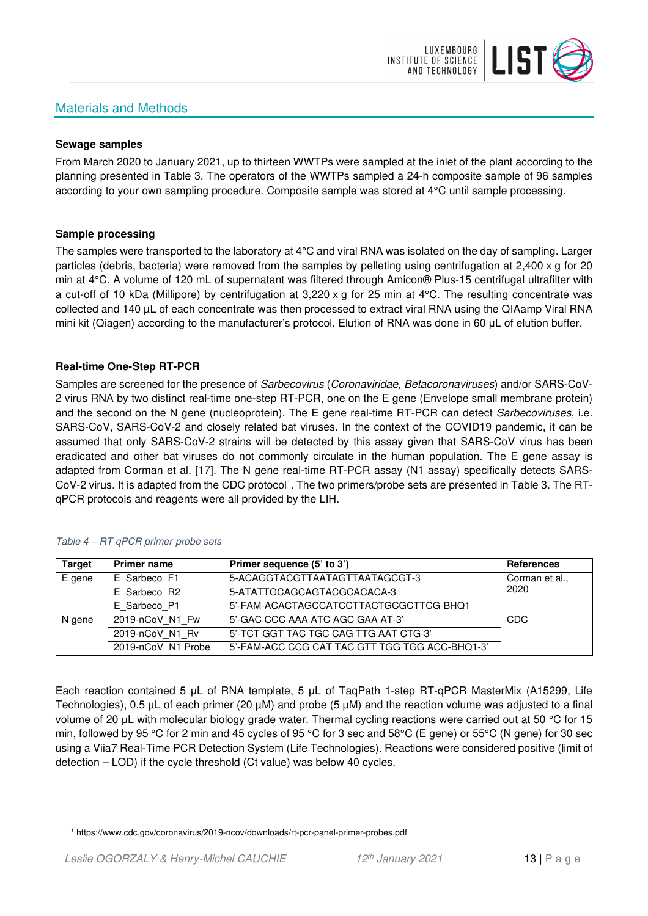# Materials and Methods



#### **Sewage samples**

From March 2020 to January 2021, up to thirteen WWTPs were sampled at the inlet of the plant according to the planning presented in Table 3. The operators of the WWTPs sampled a 24-h composite sample of 96 samples according to your own sampling procedure. Composite sample was stored at 4°C until sample processing.

#### **Sample processing**

The samples were transported to the laboratory at 4°C and viral RNA was isolated on the day of sampling. Larger particles (debris, bacteria) were removed from the samples by pelleting using centrifugation at 2,400 x g for 20 min at 4°C. A volume of 120 mL of supernatant was filtered through Amicon® Plus-15 centrifugal ultrafilter with a cut-off of 10 kDa (Millipore) by centrifugation at 3,220 x g for 25 min at 4°C. The resulting concentrate was collected and 140 µL of each concentrate was then processed to extract viral RNA using the QIAamp Viral RNA mini kit (Qiagen) according to the manufacturer's protocol. Elution of RNA was done in 60 μL of elution buffer.

#### **Real-time One-Step RT-PCR**

Samples are screened for the presence of *Sarbecovirus (Coronaviridae, Betacoronaviruses*) and/or SARS-CoV-2 virus RNA by two distinct real-time one-step RT-PCR, one on the E gene (Envelope small membrane protein) and the second on the N gene (nucleoprotein). The E gene real-time RT-PCR can detect Sarbecoviruses, i.e. SARS-CoV, SARS-CoV-2 and closely related bat viruses. In the context of the COVID19 pandemic, it can be assumed that only SARS-CoV-2 strains will be detected by this assay given that SARS-CoV virus has been eradicated and other bat viruses do not commonly circulate in the human population. The E gene assay is adapted from Corman et al. [17]. The N gene real-time RT-PCR assay (N1 assay) specifically detects SARS-CoV-2 virus. It is adapted from the CDC protocol<sup>1</sup>. The two primers/probe sets are presented in Table 3. The RTqPCR protocols and reagents were all provided by the LIH.

| <b>Target</b> | <b>Primer name</b> | Primer sequence (5' to 3')                     | <b>References</b> |
|---------------|--------------------|------------------------------------------------|-------------------|
| E gene        | E Sarbeco F1       | 5-ACAGGTACGTTAATAGTTAATAGCGT-3                 | Corman et al.,    |
|               | E Sarbeco R2       | 5-ATATTGCAGCAGTACGCACACA-3                     | 2020              |
|               | E Sarbeco P1       | 5'-FAM-ACACTAGCCATCCTTACTGCGCTTCG-BHQ1         |                   |
| N gene        | 2019-nCoV N1 Fw    | 5'-GAC CCC AAA ATC AGC GAA AT-3'               | CDC               |
|               | 2019-nCoV N1 Rv    | 5'-TCT GGT TAC TGC CAG TTG AAT CTG-3'          |                   |
|               | 2019-nCoV N1 Probe | 5'-FAM-ACC CCG CAT TAC GTT TGG TGG ACC-BHQ1-3' |                   |

#### Table 4 – RT-qPCR primer-probe sets

Each reaction contained 5 μL of RNA template, 5 μL of TaqPath 1-step RT-qPCR MasterMix (A15299, Life Technologies), 0.5 µL of each primer (20 µM) and probe (5 µM) and the reaction volume was adjusted to a final volume of 20 μL with molecular biology grade water. Thermal cycling reactions were carried out at 50 °C for 15 min, followed by 95 °C for 2 min and 45 cycles of 95 °C for 3 sec and 58°C (E gene) or 55°C (N gene) for 30 sec using a Viia7 Real-Time PCR Detection System (Life Technologies). Reactions were considered positive (limit of detection – LOD) if the cycle threshold (Ct value) was below 40 cycles.

<sup>1</sup> https://www.cdc.gov/coronavirus/2019-ncov/downloads/rt-pcr-panel-primer-probes.pdf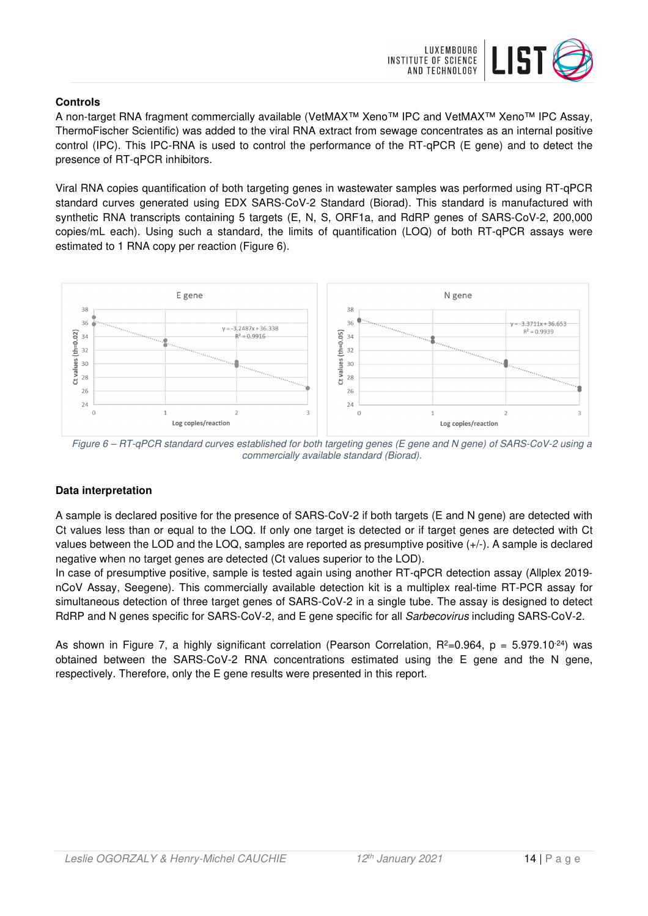

### **Controls**

A non-target RNA fragment commercially available (VetMAX™ Xeno™ IPC and VetMAX™ Xeno™ IPC Assay, ThermoFischer Scientific) was added to the viral RNA extract from sewage concentrates as an internal positive control (IPC). This IPC-RNA is used to control the performance of the RT-qPCR (E gene) and to detect the presence of RT-qPCR inhibitors.

Viral RNA copies quantification of both targeting genes in wastewater samples was performed using RT-qPCR standard curves generated using EDX SARS-CoV-2 Standard (Biorad). This standard is manufactured with synthetic RNA transcripts containing 5 targets (E, N, S, ORF1a, and RdRP genes of SARS-CoV-2, 200,000 copies/mL each). Using such a standard, the limits of quantification (LOQ) of both RT-qPCR assays were estimated to 1 RNA copy per reaction (Figure 6).



Figure 6 – RT-qPCR standard curves established for both targeting genes (E gene and N gene) of SARS-CoV-2 using a commercially available standard (Biorad).

## **Data interpretation**

A sample is declared positive for the presence of SARS-CoV-2 if both targets (E and N gene) are detected with Ct values less than or equal to the LOQ. If only one target is detected or if target genes are detected with Ct values between the LOD and the LOQ, samples are reported as presumptive positive (+/-). A sample is declared negative when no target genes are detected (Ct values superior to the LOD).

In case of presumptive positive, sample is tested again using another RT-qPCR detection assay (Allplex 2019 nCoV Assay, Seegene). This commercially available detection kit is a multiplex real-time RT-PCR assay for simultaneous detection of three target genes of SARS-CoV-2 in a single tube. The assay is designed to detect RdRP and N genes specific for SARS-CoV-2, and E gene specific for all Sarbecovirus including SARS-CoV-2.

As shown in Figure 7, a highly significant correlation (Pearson Correlation,  $R^2=0.964$ ,  $p = 5.979.10^{-24}$ ) was obtained between the SARS-CoV-2 RNA concentrations estimated using the E gene and the N gene, respectively. Therefore, only the E gene results were presented in this report.